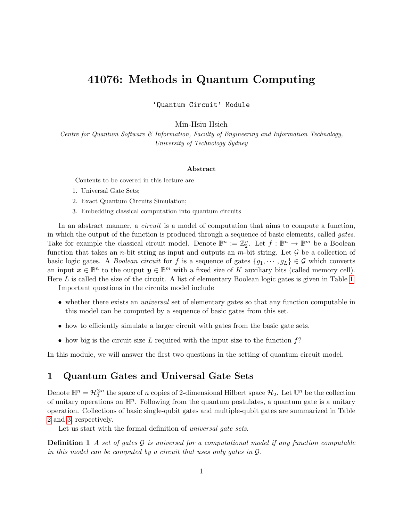# 41076: Methods in Quantum Computing

'Quantum Circuit' Module

Min-Hsiu Hsieh

Centre for Quantum Software & Information, Faculty of Engineering and Information Technology, University of Technology Sydney

#### Abstract

Contents to be covered in this lecture are

- 1. Universal Gate Sets;
- 2. Exact Quantum Circuits Simulation;
- 3. Embedding classical computation into quantum circuits

In an abstract manner, a *circuit* is a model of computation that aims to compute a function, in which the output of the function is produced through a sequence of basic elements, called gates. Take for example the classical circuit model. Denote  $\mathbb{B}^n := \mathbb{Z}_2^n$ . Let  $f : \mathbb{B}^n \to \mathbb{B}^m$  be a Boolean function that takes an *n*-bit string as input and outputs an *m*-bit string. Let  $\mathcal G$  be a collection of basic logic gates. A *Boolean circuit* for f is a sequence of gates  $\{g_1, \dots, g_L\} \in \mathcal{G}$  which converts an input  $\boldsymbol{x} \in \mathbb{B}^n$  to the output  $\boldsymbol{y} \in \mathbb{B}^m$  with a fixed size of K auxiliary bits (called memory cell). Here L is called the size of the circuit. A list of elementary Boolean logic gates is given in Table [1.](#page-1-0)

Important questions in the circuits model include

- whether there exists an *universal* set of elementary gates so that any function computable in this model can be computed by a sequence of basic gates from this set.
- how to efficiently simulate a larger circuit with gates from the basic gate sets.
- how big is the circuit size L required with the input size to the function  $f$ ?

In this module, we will answer the first two questions in the setting of quantum circuit model.

# 1 Quantum Gates and Universal Gate Sets

Denote  $\mathbb{H}^n = \mathcal{H}_2^{\otimes n}$  the space of n copies of 2-dimensional Hilbert space  $\mathcal{H}_2$ . Let  $\mathbb{U}^n$  be the collection of unitary operations on  $\mathbb{H}^n$ . Following from the quantum postulates, a quantum gate is a unitary operation. Collections of basic single-qubit gates and multiple-qubit gates are summarized in Table [2](#page-2-0) and [3,](#page-3-0) respectively.

<span id="page-0-0"></span>Let us start with the formal definition of *universal gate sets*.

**Definition 1** A set of gates  $\mathcal G$  is universal for a computational model if any function computable in this model can be computed by a circuit that uses only gates in G.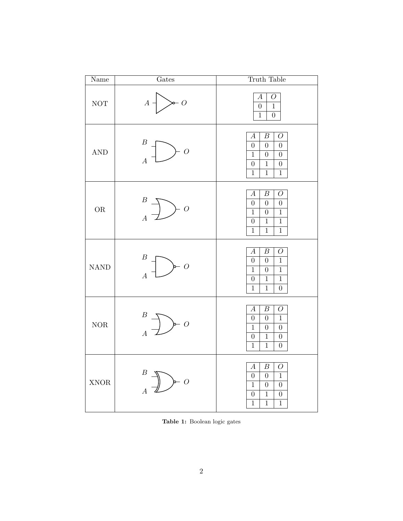<span id="page-1-0"></span>

| Name                 | Gates                                                                                                                                                                        | Truth Table                                                                                                                                                                                                                                                                     |
|----------------------|------------------------------------------------------------------------------------------------------------------------------------------------------------------------------|---------------------------------------------------------------------------------------------------------------------------------------------------------------------------------------------------------------------------------------------------------------------------------|
| $\operatorname{NOT}$ | $\sim$ 0<br>$A \dashv$                                                                                                                                                       | $\overline{O}$<br>$\boldsymbol{A}$<br>$\overline{0}$<br>$\mathbf 1$<br>$\overline{1}$<br>$\overline{0}$                                                                                                                                                                         |
| $\operatorname{AND}$ | $\boldsymbol{B}$<br>$-$ O<br>$\overline{A}$                                                                                                                                  | $\overline{B}$<br>$\boldsymbol{A}$<br>$\overline{O}$<br>$\overline{0}$<br>$\overline{0}$<br>$\overline{0}$<br>$\boldsymbol{0}$<br>$\overline{0}$<br>$\mathbf{1}$<br>$\overline{0}$<br>$\overline{1}$<br>$\overline{0}$<br>$\overline{1}$<br>$\mathbf{1}$<br>$\mathbf{1}$        |
| OR                   | $\boldsymbol{B}$<br>$-$ O<br>$\frac{-1}{A}$                                                                                                                                  | $\overline{O}$<br>$\boldsymbol{A}$<br>$\boldsymbol{B}$<br>$\overline{0}$<br>$\boldsymbol{0}$<br>$\boldsymbol{0}$<br>$\overline{0}$<br>$\overline{1}$<br>$\mathbf{1}$<br>$\overline{1}$<br>$\overline{0}$<br>$\,1$<br>$\overline{1}$<br>$\mathbf{1}$<br>$\mathbf{1}$             |
| <b>NAND</b>          | $\boldsymbol{B}$<br>$\rightarrow O$<br>$\overline{A}$                                                                                                                        | $\overline{A}$<br>$\overline{B}$<br>$\overline{O}$<br>$\mathbf{1}$<br>$\boldsymbol{0}$<br>$\boldsymbol{0}$<br>$\overline{1}$<br>$\overline{1}$<br>$\boldsymbol{0}$<br>$\overline{0}$<br>$\mathbf 1$<br>$\mathbf{1}$<br>$\overline{1}$<br>$\overline{1}$<br>$\overline{0}$       |
| $\rm{NOR}$           | $\begin{matrix} B \\ A \end{matrix}$ $\begin{matrix} \longrightarrow \\ \longrightarrow \end{matrix}$ $\begin{matrix} \longrightarrow & 0 \\ & \longrightarrow \end{matrix}$ | $\boldsymbol{B}$<br>$\overline{O}$<br>$\boldsymbol{A}$<br>$\overline{1}$<br>$\overline{0}$<br>$\boldsymbol{0}$<br>$\overline{1}$<br>$\boldsymbol{0}$<br>$\boldsymbol{0}$<br>$\overline{1}$<br>$\overline{0}$<br>$\overline{0}$<br>$\mathbf{1}$<br>$\mathbf 1$<br>$\overline{0}$ |
| <b>XNOR</b>          | $\boldsymbol{B}$<br>$\rightarrow$<br>$\overline{A}$                                                                                                                          | $\boldsymbol{B}$<br>$\boldsymbol{A}$<br>$\mathcal{O}$<br>$\boldsymbol{0}$<br>$\boldsymbol{0}$<br>$1\,$<br>$\overline{1}$<br>$\boldsymbol{0}$<br>$\boldsymbol{0}$<br>$\,1$<br>$\boldsymbol{0}$<br>$\boldsymbol{0}$<br>$\overline{1}$<br>$\overline{1}$<br>$\overline{1}$         |

Table 1: Boolean logic gates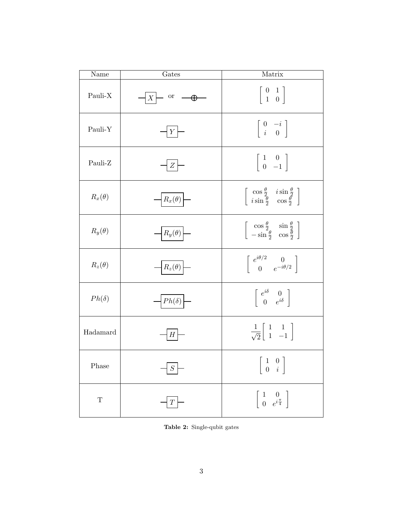<span id="page-2-0"></span>

| Name          | Gates                                                     | Matrix                                                                                                                                    |
|---------------|-----------------------------------------------------------|-------------------------------------------------------------------------------------------------------------------------------------------|
| Pauli-X       | $X$ $\leftarrow$ or $\rightarrow \rightarrow \rightarrow$ | $\left[\begin{array}{cc} 0 & 1 \\ 1 & 0 \end{array}\right]$                                                                               |
| Pauli-Y       | $\vert Y \vert$                                           | $\left[\begin{array}{cc} 0 & -i \\ i & 0 \end{array}\right]$                                                                              |
| Pauli-Z       | $Z \mid$                                                  | $\left \begin{array}{cc} 1 & 0 \\ 0 & -1 \end{array}\right $                                                                              |
| $R_x(\theta)$ | $R_x(\theta)$ –                                           | $\left[\begin{array}{cc} \cos\frac{\theta}{2} & i\sin\frac{\theta}{2} \\ i\sin\frac{\theta}{2} & \cos\frac{\theta}{2} \end{array}\right]$ |
| $R_y(\theta)$ | $R_y(\theta)$                                             | $\left[\begin{array}{cc} \cos\frac{\theta}{2} & \sin\frac{\theta}{2} \\ -\sin\frac{\theta}{2} & \cos\frac{\theta}{2} \end{array}\right]$  |
| $R_z(\theta)$ | $R_z(\theta)$                                             | $\left[ \begin{array}{cc} e^{i\theta/2} & 0 \\ 0 & e^{-i\theta/2} \end{array} \right]$                                                    |
| $Ph(\delta)$  | $\left  Ph(\delta) \right $                               | $\left[ \begin{array}{cc} e^{i\delta} & 0 \\ 0 & e^{i\delta} \end{array} \right]$                                                         |
| Hadamard      | $H_{\parallel}$                                           | $\frac{1}{\sqrt{2}}\begin{bmatrix} 1 & 1 \\ 1 & -1 \end{bmatrix}$                                                                         |
| Phase         | $\cal S$                                                  | $\left[\begin{array}{cc} 1 & 0 \\ 0 & i \end{array}\right]$                                                                               |
| $\mathbf T$   | $\boldsymbol{T}$                                          | $\left[\begin{array}{cc} 1 & 0 \\ 0 & e^{i\frac{\pi}{4}} \end{array}\right]$                                                              |

Table 2: Single-qubit gates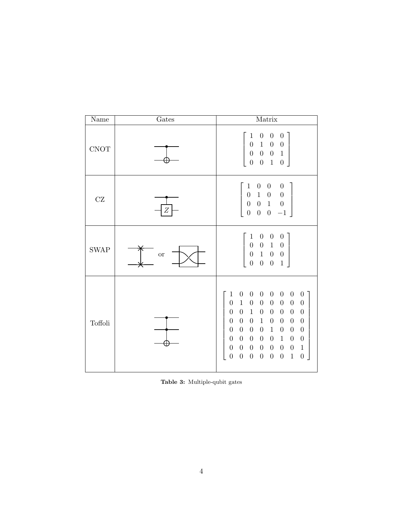<span id="page-3-0"></span>

| Name                | Gates            | Matrix                                                                                                                                                                                                                                                                                                                                                                                                                                                                                                                                                                                                                                                                                                                                                                                                                                                                                                                                                                                                                                                                                                                                                                                                                |
|---------------------|------------------|-----------------------------------------------------------------------------------------------------------------------------------------------------------------------------------------------------------------------------------------------------------------------------------------------------------------------------------------------------------------------------------------------------------------------------------------------------------------------------------------------------------------------------------------------------------------------------------------------------------------------------------------------------------------------------------------------------------------------------------------------------------------------------------------------------------------------------------------------------------------------------------------------------------------------------------------------------------------------------------------------------------------------------------------------------------------------------------------------------------------------------------------------------------------------------------------------------------------------|
| CNOT                |                  | $\boldsymbol{0}$<br>$\boldsymbol{0}$<br>$\boldsymbol{0}$<br>$\mathbf{1}$<br>$\boldsymbol{0}$<br>$\,1$<br>$\boldsymbol{0}$<br>$\boldsymbol{0}$<br>$\overline{0}$<br>$\overline{0}$<br>$\boldsymbol{0}$<br>$\mathbf{1}$<br>$\overline{0}$<br>$\boldsymbol{0}$<br>$\,1$<br>$\boldsymbol{0}$                                                                                                                                                                                                                                                                                                                                                                                                                                                                                                                                                                                                                                                                                                                                                                                                                                                                                                                              |
| $\operatorname{CZ}$ | $\boldsymbol{Z}$ | $\boldsymbol{0}$<br>$\mathbf{1}$<br>$\boldsymbol{0}$<br>$\overline{0}$<br>$\,1$<br>$\boldsymbol{0}$<br>$\boldsymbol{0}$<br>$\boldsymbol{0}$<br>$\overline{0}$<br>$\,1\,$<br>$\boldsymbol{0}$<br>$\theta$<br>$\overline{0}$<br>$\overline{0}$<br>$\boldsymbol{0}$<br>$-1$                                                                                                                                                                                                                                                                                                                                                                                                                                                                                                                                                                                                                                                                                                                                                                                                                                                                                                                                              |
| <b>SWAP</b>         | <b>or</b>        | $\boldsymbol{0}$<br>$\mathbf 1$<br>$\boldsymbol{0}$<br>$\boldsymbol{0}$<br>$\boldsymbol{0}$<br>$\begin{matrix} 0 & 1 \\ 1 & 0 \end{matrix}$<br>$\boldsymbol{0}$<br>$\overline{0}$<br>$\boldsymbol{0}$<br>$\overline{0}$<br>$\boldsymbol{0}$<br>$\mathbf 1$<br>$\boldsymbol{0}$                                                                                                                                                                                                                                                                                                                                                                                                                                                                                                                                                                                                                                                                                                                                                                                                                                                                                                                                        |
| Toffoli             |                  | $\mathbf{1}$<br>$\theta$<br>$\boldsymbol{0}$<br>$\boldsymbol{0}$<br>$\theta$<br>$\boldsymbol{0}$<br>$\boldsymbol{0}$<br>$\boldsymbol{0}$<br>$\boldsymbol{0}$<br>$1\,$<br>$\boldsymbol{0}$<br>$\boldsymbol{0}$<br>$\boldsymbol{0}$<br>$\boldsymbol{0}$<br>$\boldsymbol{0}$<br>$\boldsymbol{0}$<br>$\boldsymbol{0}$<br>$\boldsymbol{0}$<br>$\boldsymbol{0}$<br>$\!1\!$<br>$\boldsymbol{0}$<br>$\boldsymbol{0}$<br>$\boldsymbol{0}$<br>$\boldsymbol{0}$<br>$\boldsymbol{0}$<br>$\boldsymbol{0}$<br>$\mathbf{1}$<br>$\boldsymbol{0}$<br>$\theta$<br>$\boldsymbol{0}$<br>$\theta$<br>$\theta$<br>$\mathbf 1$<br>$\boldsymbol{0}$<br>$\boldsymbol{0}$<br>$\boldsymbol{0}$<br>$\boldsymbol{0}$<br>$\boldsymbol{0}$<br>$\boldsymbol{0}$<br>$\boldsymbol{0}$<br>$\boldsymbol{0}$<br>$\overline{0}$<br>$\boldsymbol{0}$<br>$\boldsymbol{0}$<br>$\mathbf{1}$<br>$\boldsymbol{0}$<br>$\boldsymbol{0}$<br>$\boldsymbol{0}$<br>$\,1\,$<br>$\boldsymbol{0}$<br>$\boldsymbol{0}$<br>$\boldsymbol{0}$<br>$\boldsymbol{0}$<br>$\boldsymbol{0}$<br>$\boldsymbol{0}$<br>$\boldsymbol{0}$<br>$\boldsymbol{0}$<br>$\boldsymbol{0}$<br>$1\,$<br>$\overline{0}$<br>$\boldsymbol{0}$<br>$\overline{0}$<br>$\boldsymbol{0}$<br>$\boldsymbol{0}$ |

Table 3: Multiple-qubit gates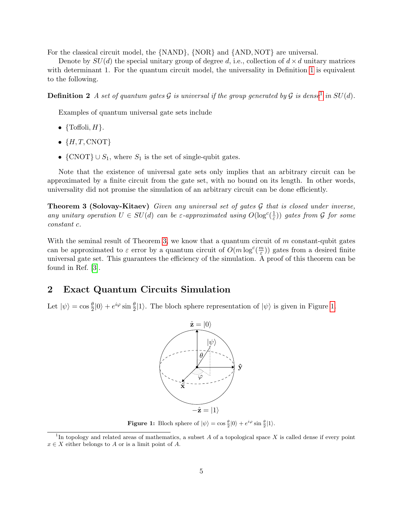For the classical circuit model, the {NAND}, {NOR} and {AND, NOT} are universal.

Denote by  $SU(d)$  the special unitary group of degree d, i.e., collection of  $d \times d$  unitary matrices with determinant [1](#page-0-0). For the quantum circuit model, the universality in Definition 1 is equivalent to the following.

**Definition 2** A set of quantum gates G is universal if the group generated by G is dense<sup>[1](#page-4-0)</sup> in SU(d).

Examples of quantum universal gate sets include

- $\{\text{Toffoli}, H\}.$
- $\bullet$   $\{H, T, \text{CNOT}\}$
- $\{CNOT\} \cup S_1$ , where  $S_1$  is the set of single-qubit gates.

Note that the existence of universal gate sets only implies that an arbitrary circuit can be approximated by a finite circuit from the gate set, with no bound on its length. In other words, universality did not promise the simulation of an arbitrary circuit can be done efficiently.

<span id="page-4-1"></span>**Theorem 3 (Solovay-Kitaev)** Given any universal set of gates  $\mathcal G$  that is closed under inverse, any unitary operation  $U \in SU(d)$  can be  $\varepsilon$ -approximated using  $O(\log^c(\frac{1}{\varepsilon}))$  $(\frac{1}{\varepsilon}))$  gates from  $\mathcal G$  for some constant c.

With the seminal result of Theorem [3,](#page-4-1) we know that a quantum circuit of m constant-qubit gates can be approximated to  $\varepsilon$  error by a quantum circuit of  $O(m \log^c(\frac{m}{\varepsilon}))$  $\frac{m}{\varepsilon}$ )) gates from a desired finite universal gate set. This guarantees the efficiency of the simulation. A proof of this theorem can be found in Ref. [\[3\]](#page-9-0).

# 2 Exact Quantum Circuits Simulation

<span id="page-4-2"></span>Let  $|\psi\rangle = \cos \frac{\theta}{2}|0\rangle + e^{i\varphi} \sin \frac{\theta}{2}|1\rangle$ . The bloch sphere representation of  $|\psi\rangle$  is given in Figure [1.](#page-4-2)



**Figure 1:** Bloch sphere of  $|\psi\rangle = \cos\frac{\theta}{2}|0\rangle + e^{i\varphi}\sin\frac{\theta}{2}|1\rangle$ .

<span id="page-4-0"></span><sup>&</sup>lt;sup>1</sup>In topology and related areas of mathematics, a subset A of a topological space X is called dense if every point  $x \in X$  either belongs to A or is a limit point of A.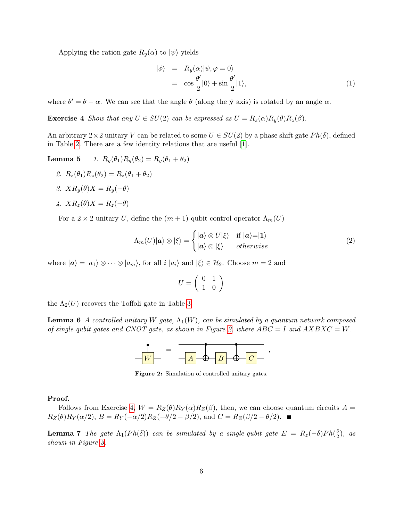Applying the ration gate  $R_y(\alpha)$  to  $|\psi\rangle$  yields

$$
\begin{array}{rcl}\n\ket{\phi} & = & R_y(\alpha) \ket{\psi, \varphi = 0} \\
& = & \cos \frac{\theta'}{2} \ket{0} + \sin \frac{\theta'}{2} \ket{1},\n\end{array} \tag{1}
$$

<span id="page-5-1"></span>where  $\theta' = \theta - \alpha$ . We can see that the angle  $\theta$  (along the  $\hat{y}$  axis) is rotated by an angle  $\alpha$ .

**Exercise 4** Show that any  $U \in SU(2)$  can be expressed as  $U = R_z(\alpha)R_y(\theta)R_z(\beta)$ .

An arbitrary  $2\times 2$  unitary V can be related to some  $U \in SU(2)$  by a phase shift gate  $Ph(\delta)$ , defined in Table [2.](#page-2-0) There are a few identity relations that are useful [\[1\]](#page-9-1).

Lemma 5 1.  $R_y(\theta_1)R_y(\theta_2) = R_y(\theta_1 + \theta_2)$ 

- 2.  $R_z(\theta_1)R_z(\theta_2) = R_z(\theta_1 + \theta_2)$
- 3.  $XR_u(\theta)X = R_u(-\theta)$

4. 
$$
XR_z(\theta)X = R_z(-\theta)
$$

For a 2 × 2 unitary U, define the  $(m + 1)$ -qubit control operator  $\Lambda_m(U)$ 

$$
\Lambda_m(U)|\mathbf{a}\rangle \otimes |\xi\rangle = \begin{cases} |\mathbf{a}\rangle \otimes U|\xi\rangle & \text{if } |\mathbf{a}\rangle = |\mathbf{1}\rangle \\ |\mathbf{a}\rangle \otimes |\xi\rangle & otherwise \end{cases}
$$
 (2)

where  $|a\rangle = |a_1\rangle \otimes \cdots \otimes |a_m\rangle$ , for all  $i |a_i\rangle$  and  $|\xi\rangle \in \mathcal{H}_2$ . Choose  $m = 2$  and

$$
U = \left(\begin{array}{cc} 0 & 1 \\ 1 & 0 \end{array}\right)
$$

<span id="page-5-2"></span>the  $\Lambda_2(U)$  recovers the Toffoli gate in Table [3.](#page-3-0)

<span id="page-5-0"></span>**Lemma 6** A controlled unitary W gate,  $\Lambda_1(W)$ , can be simulated by a quantum network composed of single qubit gates and CNOT gate, as shown in Figure [2,](#page-5-0) where  $ABC = I$  and  $AXBXC = W$ .



Figure 2: Simulation of controlled unitary gates.

#### Proof.

Follows from Exercise [4,](#page-5-1)  $W = R_Z(\theta)R_Y(\alpha)R_Z(\beta)$ , then, we can choose quantum circuits  $A =$  $R_Z(\theta)R_Y(\alpha/2), B = R_Y(-\alpha/2)R_Z(-\theta/2 - \beta/2), \text{ and } C = R_Z(\beta/2 - \theta/2).$ 

<span id="page-5-3"></span>**Lemma 7** The gate  $\Lambda_1(Ph(\delta))$  can be simulated by a single-qubit gate  $E = R_z(-\delta)Ph(\frac{\delta}{2})$  $\frac{\delta}{2}$ ), as shown in Figure [3.](#page-6-0)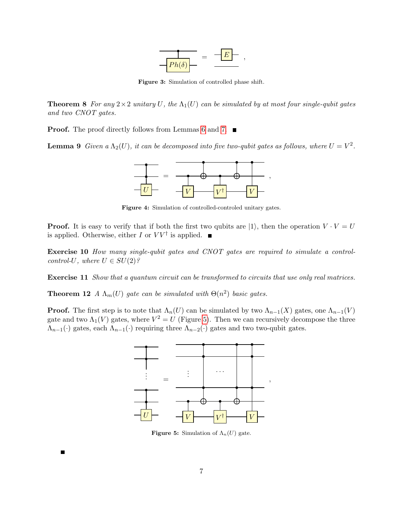

Figure 3: Simulation of controlled phase shift.

<span id="page-6-0"></span>**Theorem 8** For any  $2 \times 2$  unitary U, the  $\Lambda_1(U)$  can be simulated by at most four single-qubit gates and two CNOT gates.

**Proof.** The proof directly follows from Lemmas [6](#page-5-2) and [7.](#page-5-3) ■

**Lemma 9** Given a  $\Lambda_2(U)$ , it can be decomposed into five two-qubit gates as follows, where  $U = V^2$ .



Figure 4: Simulation of controlled-controled unitary gates.

**Proof.** It is easy to verify that if both the first two qubits are  $|1\rangle$ , then the operation  $V \cdot V = U$ is applied. Otherwise, either I or  $VV^{\dagger}$  is applied.

Exercise 10 How many single-qubit gates and CNOT gates are required to simulate a controlcontrol-U, where  $U \in SU(2)$ ?

Exercise 11 Show that a quantum circuit can be transformed to circuits that use only real matrices.

**Theorem 12** A  $\Lambda_m(U)$  gate can be simulated with  $\Theta(n^2)$  basic gates.

<span id="page-6-1"></span>**Proof.** The first step is to note that  $\Lambda_n(U)$  can be simulated by two  $\Lambda_{n-1}(X)$  gates, one  $\Lambda_{n-1}(V)$ gate and two  $\Lambda_1(V)$  gates, where  $V^2 = U$  (Figure [5\)](#page-6-1). Then we can recursively decompose the three  $\Lambda_{n-1}(\cdot)$  gates, each  $\Lambda_{n-1}(\cdot)$  requiring three  $\Lambda_{n-2}(\cdot)$  gates and two two-qubit gates.



**Figure 5:** Simulation of  $\Lambda_n(U)$  gate.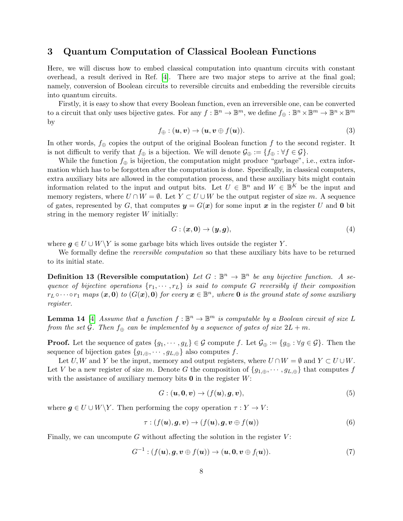# 3 Quantum Computation of Classical Boolean Functions

Here, we will discuss how to embed classical computation into quantum circuits with constant overhead, a result derived in Ref. [\[4\]](#page-9-2). There are two major steps to arrive at the final goal; namely, conversion of Boolean circuits to reversible circuits and embedding the reversible circuits into quantum circuits.

Firstly, it is easy to show that every Boolean function, even an irreversible one, can be converted to a circuit that only uses bijective gates. For any  $f : \mathbb{B}^n \to \mathbb{B}^m$ , we define  $f_{\oplus} : \mathbb{B}^n \times \mathbb{B}^m \to \mathbb{B}^n \times \mathbb{B}^m$ by

<span id="page-7-2"></span>
$$
f_{\oplus} : (\mathbf{u}, \mathbf{v}) \to (\mathbf{u}, \mathbf{v} \oplus f(\mathbf{u})). \tag{3}
$$

In other words,  $f_{\oplus}$  copies the output of the original Boolean function f to the second register. It is not difficult to verify that  $f_{\oplus}$  is a bijection. We will denote  $\mathcal{G}_{\oplus} := \{f_{\oplus} : \forall f \in \mathcal{G}\}.$ 

While the function  $f_{\oplus}$  is bijection, the computation might produce "garbage", i.e., extra information which has to be forgotten after the computation is done. Specifically, in classical computers, extra auxiliary bits are allowed in the computation process, and these auxiliary bits might contain information related to the input and output bits. Let  $U \in \mathbb{B}^n$  and  $W \in \mathbb{B}^K$  be the input and memory registers, where  $U \cap W = \emptyset$ . Let  $Y \subset U \cup W$  be the output register of size m. A sequence of gates, represented by G, that computes  $y = G(x)$  for some input x in the register U and 0 bit string in the memory register W initially:

$$
G: (\mathbf{x}, \mathbf{0}) \to (\mathbf{y}, \mathbf{g}), \tag{4}
$$

where  $g \in U \cup W \backslash Y$  is some garbage bits which lives outside the register Y.

We formally define the *reversible computation* so that these auxiliary bits have to be returned to its initial state.

**Definition 13 (Reversible computation)** Let  $G : \mathbb{B}^n \to \mathbb{B}^n$  be any bijective function. A sequence of bijective operations  $\{r_1, \dots, r_L\}$  is said to compute G reversibly if their composition  $r_L \circ \cdots \circ r_1$  maps  $(\bm x, \bm 0)$  to  $(G(\bm x), \bm 0)$  for every  $\bm x \in \mathbb{B}^n$ , where  $\bm 0$  is the ground state of some auxiliary register.

<span id="page-7-3"></span>**Lemma 14** [\[4\]](#page-9-2) Assume that a function  $f : \mathbb{B}^n \to \mathbb{B}^m$  is computable by a Boolean circuit of size L from the set G. Then  $f_{\oplus}$  can be implemented by a sequence of gates of size  $2L + m$ .

**Proof.** Let the sequence of gates  $\{g_1, \dots, g_L\} \in \mathcal{G}$  compute f. Let  $\mathcal{G}_{\oplus} := \{g_{\oplus} : \forall g \in \mathcal{G}\}\$ . Then the sequence of bijection gates  $\{g_{1,\oplus}, \cdots, g_{L,\oplus}\}\$ also computes f.

Let U, W and Y be the input, memory and output registers, where  $U \cap W = \emptyset$  and  $Y \subset U \cup W$ . Let V be a new register of size m. Denote G the composition of  $\{g_{1,\oplus}, \cdots, g_{L,\oplus}\}\$  that computes f with the assistance of auxiliary memory bits  $\mathbf 0$  in the register  $W$ :

<span id="page-7-0"></span>
$$
G: (\mathbf{u}, \mathbf{0}, \mathbf{v}) \to (f(\mathbf{u}), \mathbf{g}, \mathbf{v}), \tag{5}
$$

where  $g \in U \cup W \backslash Y$ . Then performing the copy operation  $\tau : Y \to V$ :

<span id="page-7-4"></span>
$$
\tau : (f(\mathbf{u}), \mathbf{g}, \mathbf{v}) \to (f(\mathbf{u}), \mathbf{g}, \mathbf{v} \oplus f(\mathbf{u})) \tag{6}
$$

Finally, we can uncompute G without affecting the solution in the register  $V$ :

<span id="page-7-1"></span>
$$
G^{-1}: (f(\boldsymbol{u}), \boldsymbol{g}, \boldsymbol{v} \oplus f(\boldsymbol{u})) \to (\boldsymbol{u}, \boldsymbol{0}, \boldsymbol{v} \oplus f(\boldsymbol{u})). \tag{7}
$$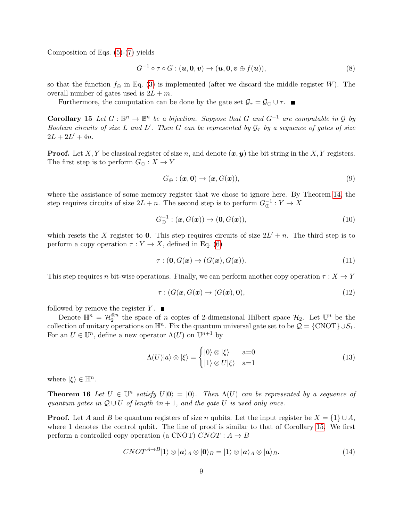Composition of Eqs. [\(5\)](#page-7-0)-[\(7\)](#page-7-1) yields

$$
G^{-1} \circ \tau \circ G : (\boldsymbol{u}, \boldsymbol{0}, \boldsymbol{v}) \to (\boldsymbol{u}, \boldsymbol{0}, \boldsymbol{v} \oplus f(\boldsymbol{u})), \tag{8}
$$

so that the function  $f_{\oplus}$  in Eq. [\(3\)](#page-7-2) is implemented (after we discard the middle register W). The overall number of gates used is  $2L + m$ .

Furthermore, the computation can be done by the gate set  $\mathcal{G}_{\tau} = \mathcal{G}_{\oplus} \cup \tau$ .

<span id="page-8-0"></span>**Corollary 15** Let  $G : \mathbb{B}^n \to \mathbb{B}^n$  be a bijection. Suppose that G and  $G^{-1}$  are computable in G by Boolean circuits of size L and L'. Then G can be represented by  $\mathcal{G}_{\tau}$  by a sequence of gates of size  $2L + 2L' + 4n$ .

**Proof.** Let X, Y be classical register of size n, and denote  $(x, y)$  the bit string in the X, Y registers. The first step is to perform  $G_{\oplus}: X \to Y$ 

$$
G_{\oplus} : (\mathbf{x}, \mathbf{0}) \to (\mathbf{x}, G(\mathbf{x})), \tag{9}
$$

where the assistance of some memory register that we chose to ignore here. By Theorem [14,](#page-7-3) the step requires circuits of size  $2L + n$ . The second step is to perform  $G_{\oplus}^{-1} : Y \to X$ 

$$
G_{\oplus}^{-1} : (\mathbf{x}, G(\mathbf{x})) \to (\mathbf{0}, G(\mathbf{x})), \tag{10}
$$

which resets the X register to 0. This step requires circuits of size  $2L' + n$ . The third step is to perform a copy operation  $\tau : Y \to X$ , defined in Eq. [\(6\)](#page-7-4)

$$
\tau : (\mathbf{0}, G(\mathbf{x}) \to (G(\mathbf{x}), G(\mathbf{x})). \tag{11}
$$

This step requires n bit-wise operations. Finally, we can perform another copy operation  $\tau : X \to Y$ 

$$
\tau: (G(\mathbf{x}, G(\mathbf{x}) \to (G(\mathbf{x}), \mathbf{0}), \tag{12})
$$

followed by remove the register  $Y$ .

Denote  $\mathbb{H}^n = \mathcal{H}_2^{\otimes n}$  the space of n copies of 2-dimensional Hilbert space  $\mathcal{H}_2$ . Let  $\mathbb{U}^n$  be the collection of unitary operations on  $\mathbb{H}^n$ . Fix the quantum universal gate set to be  $\mathcal{Q} = \{ \text{CNOT} \} \cup S_1$ . For an  $U \in \mathbb{U}^n$ , define a new operator  $\Lambda(U)$  on  $\mathbb{U}^{n+1}$  by

<span id="page-8-1"></span>
$$
\Lambda(U)|a\rangle \otimes |\xi\rangle = \begin{cases} |0\rangle \otimes |\xi\rangle & \text{a=0} \\ |1\rangle \otimes U|\xi\rangle & \text{a=1} \end{cases}
$$
(13)

where  $|\xi\rangle \in \mathbb{H}^n$ .

**Theorem 16** Let  $U \in \mathbb{U}^n$  satisfy  $U|0\rangle = |0\rangle$ . Then  $\Lambda(U)$  can be represented by a sequence of quantum gates in  $\mathcal{Q} \cup U$  of length  $4n + 1$ , and the gate U is used only once.

**Proof.** Let A and B be quantum registers of size n qubits. Let the input register be  $X = \{1\} \cup A$ , where 1 denotes the control qubit. The line of proof is similar to that of Corollary [15.](#page-8-0) We first perform a controlled copy operation (a CNOT)  $CNOT : A \rightarrow B$ 

$$
CNOT^{A\rightarrow B}|1\rangle \otimes |a\rangle_A \otimes |0\rangle_B = |1\rangle \otimes |a\rangle_A \otimes |a\rangle_B.
$$
 (14)